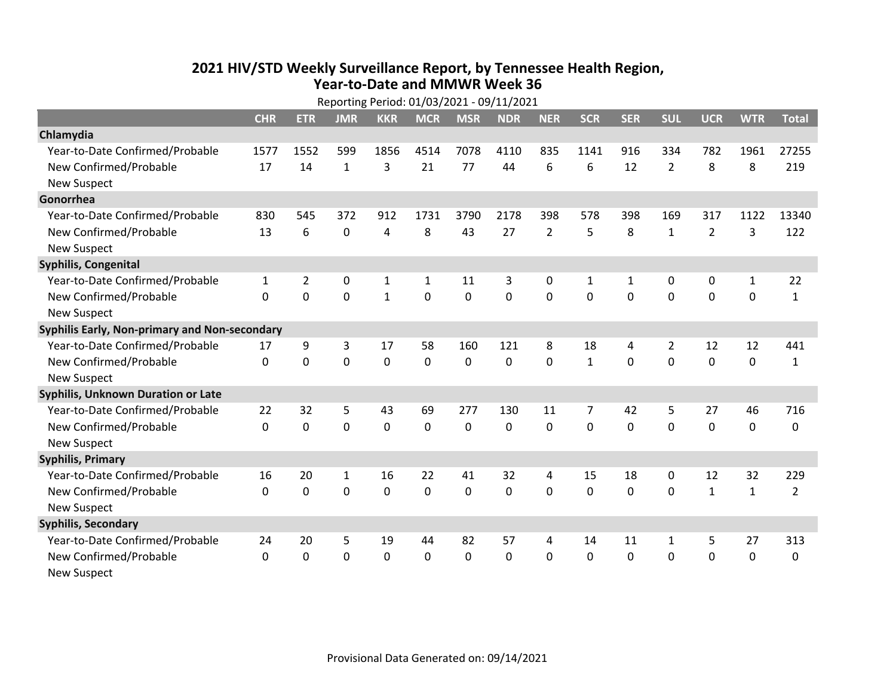## **2021 HIV /STD Weekly Surveillance Report, by Tennessee Health Region, Year‐to‐Date and MMWR Week 36**

| Reporting Period: 01/03/2021 - 09/11/2021     |              |                |             |              |              |             |            |                |              |              |                |                |              |                |
|-----------------------------------------------|--------------|----------------|-------------|--------------|--------------|-------------|------------|----------------|--------------|--------------|----------------|----------------|--------------|----------------|
|                                               | <b>CHR</b>   | <b>ETR</b>     | <b>JMR</b>  | <b>KKR</b>   | <b>MCR</b>   | <b>MSR</b>  | <b>NDR</b> | <b>NER</b>     | <b>SCR</b>   | <b>SER</b>   | <b>SUL</b>     | <b>UCR</b>     | <b>WTR</b>   | <b>Total</b>   |
| Chlamydia                                     |              |                |             |              |              |             |            |                |              |              |                |                |              |                |
| Year-to-Date Confirmed/Probable               | 1577         | 1552           | 599         | 1856         | 4514         | 7078        | 4110       | 835            | 1141         | 916          | 334            | 782            | 1961         | 27255          |
| New Confirmed/Probable                        | 17           | 14             | 1           | 3            | 21           | 77          | 44         | 6              | 6            | 12           | $\overline{2}$ | 8              | 8            | 219            |
| <b>New Suspect</b>                            |              |                |             |              |              |             |            |                |              |              |                |                |              |                |
| Gonorrhea                                     |              |                |             |              |              |             |            |                |              |              |                |                |              |                |
| Year-to-Date Confirmed/Probable               | 830          | 545            | 372         | 912          | 1731         | 3790        | 2178       | 398            | 578          | 398          | 169            | 317            | 1122         | 13340          |
| New Confirmed/Probable                        | 13           | 6              | 0           | 4            | 8            | 43          | 27         | $\overline{2}$ | 5            | 8            | $\mathbf{1}$   | $\overline{2}$ | 3            | 122            |
| <b>New Suspect</b>                            |              |                |             |              |              |             |            |                |              |              |                |                |              |                |
| <b>Syphilis, Congenital</b>                   |              |                |             |              |              |             |            |                |              |              |                |                |              |                |
| Year-to-Date Confirmed/Probable               | 1            | $\overline{2}$ | $\mathbf 0$ | $\mathbf{1}$ | $\mathbf{1}$ | 11          | 3          | 0              | $\mathbf{1}$ | $\mathbf{1}$ | $\mathbf 0$    | 0              | $\mathbf{1}$ | 22             |
| New Confirmed/Probable                        | $\Omega$     | 0              | 0           | $\mathbf{1}$ | 0            | 0           | 0          | $\mathbf 0$    | 0            | 0            | $\mathbf 0$    | 0              | $\mathbf 0$  | $\mathbf{1}$   |
| <b>New Suspect</b>                            |              |                |             |              |              |             |            |                |              |              |                |                |              |                |
| Syphilis Early, Non-primary and Non-secondary |              |                |             |              |              |             |            |                |              |              |                |                |              |                |
| Year-to-Date Confirmed/Probable               | 17           | 9              | 3           | 17           | 58           | 160         | 121        | 8              | 18           | 4            | 2              | 12             | 12           | 441            |
| New Confirmed/Probable                        | $\mathbf 0$  | 0              | $\mathbf 0$ | $\mathbf 0$  | $\mathbf 0$  | $\mathbf 0$ | 0          | $\mathbf 0$    | $\mathbf{1}$ | $\mathbf 0$  | $\mathbf 0$    | $\mathbf 0$    | $\mathbf 0$  | $\mathbf{1}$   |
| <b>New Suspect</b>                            |              |                |             |              |              |             |            |                |              |              |                |                |              |                |
| <b>Syphilis, Unknown Duration or Late</b>     |              |                |             |              |              |             |            |                |              |              |                |                |              |                |
| Year-to-Date Confirmed/Probable               | 22           | 32             | 5           | 43           | 69           | 277         | 130        | 11             | 7            | 42           | 5              | 27             | 46           | 716            |
| New Confirmed/Probable                        | $\Omega$     | $\mathbf 0$    | $\mathbf 0$ | 0            | $\mathbf 0$  | 0           | 0          | $\Omega$       | $\Omega$     | 0            | 0              | 0              | $\mathbf 0$  | 0              |
| <b>New Suspect</b>                            |              |                |             |              |              |             |            |                |              |              |                |                |              |                |
| <b>Syphilis, Primary</b>                      |              |                |             |              |              |             |            |                |              |              |                |                |              |                |
| Year-to-Date Confirmed/Probable               | 16           | 20             | 1           | 16           | 22           | 41          | 32         | 4              | 15           | 18           | 0              | 12             | 32           | 229            |
| New Confirmed/Probable                        | $\mathbf{0}$ | 0              | 0           | 0            | $\mathbf 0$  | 0           | 0          | $\mathbf{0}$   | $\mathbf{0}$ | 0            | $\mathbf{0}$   | $\mathbf{1}$   | $\mathbf{1}$ | $\overline{2}$ |
| <b>New Suspect</b>                            |              |                |             |              |              |             |            |                |              |              |                |                |              |                |
| <b>Syphilis, Secondary</b>                    |              |                |             |              |              |             |            |                |              |              |                |                |              |                |
| Year-to-Date Confirmed/Probable               | 24           | 20             | 5           | 19           | 44           | 82          | 57         | 4              | 14           | 11           | 1              | 5              | 27           | 313            |
| New Confirmed/Probable                        | 0            | 0              | 0           | 0            | $\mathbf 0$  | $\mathbf 0$ | 0          | $\mathbf{0}$   | $\mathbf{0}$ | 0            | 0              | 0              | $\mathbf 0$  | 0              |
| <b>New Suspect</b>                            |              |                |             |              |              |             |            |                |              |              |                |                |              |                |